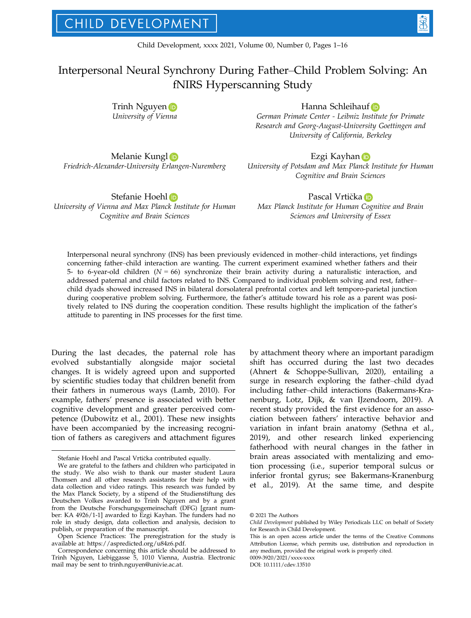# Interpersonal Neural Synchrony During Father–Child Problem Solving: An fNIRS Hyperscanning Study

Trinh Nguye[n](https://orcid.org/0000-0003-0420-2147) University of Vienna

# Hanna Schleihau[f](https://orcid.org/0000-0003-4344-9070) D

German Primate Center - Leibniz Institute for Primate Research and Georg-August-University Goettingen and University of California, Berkeley

Melanie Kung[l](https://orcid.org/0000-0002-4339-9539) Friedrich-Alexander-University Erlangen-Nuremberg

Stefanie Hoehl iD

University of Vienna and Max Planck Institute for Human Cognitive and Brain Sciences

Ezgi Kayha[n](https://orcid.org/0000-0002-1725-220X) D

University of Potsdam and Max Planck Institute for Human Cognitive and Brain Sciences

## P[a](https://orcid.org/0000-0002-8920-5509)scal Vrtička iD

Max Planck Institute for Human Cognitive and Brain Sciences and University of Essex

Interpersonal neural synchrony (INS) has been previously evidenced in mother–child interactions, yet findings concerning father–child interaction are wanting. The current experiment examined whether fathers and their 5- to 6-year-old children ( $N = 66$ ) synchronize their brain activity during a naturalistic interaction, and addressed paternal and child factors related to INS. Compared to individual problem solving and rest, father– child dyads showed increased INS in bilateral dorsolateral prefrontal cortex and left temporo-parietal junction during cooperative problem solving. Furthermore, the father's attitude toward his role as a parent was positively related to INS during the cooperation condition. These results highlight the implication of the father's attitude to parenting in INS processes for the first time.

During the last decades, the paternal role has evolved substantially alongside major societal changes. It is widely agreed upon and supported by scientific studies today that children benefit from their fathers in numerous ways (Lamb, 2010). For example, fathers' presence is associated with better cognitive development and greater perceived competence (Dubowitz et al., 2001). These new insights have been accompanied by the increasing recognition of fathers as caregivers and attachment figures

by attachment theory where an important paradigm shift has occurred during the last two decades (Ahnert & Schoppe-Sullivan, 2020), entailing a surge in research exploring the father–child dyad including father–child interactions (Bakermans-Kranenburg, Lotz, Dijk, & van IJzendoorn, 2019). A recent study provided the first evidence for an association between fathers' interactive behavior and variation in infant brain anatomy (Sethna et al., 2019), and other research linked experiencing fatherhood with neural changes in the father in brain areas associated with mentalizing and emotion processing (i.e., superior temporal sulcus or inferior frontal gyrus; see Bakermans-Kranenburg et al., 2019). At the same time, and despite

Stefanie Hoehl and Pascal Vrticka contributed equally.

We are grateful to the fathers and children who participated in the study. We also wish to thank our master student Laura Thomsen and all other research assistants for their help with data collection and video ratings. This research was funded by the Max Planck Society, by a stipend of the Studienstiftung des Deutschen Volkes awarded to Trinh Nguyen and by a grant from the Deutsche Forschungsgemeinschaft (DFG) [grant number: KA 4926/1-1] awarded to Ezgi Kayhan. The funders had no role in study design, data collection and analysis, decision to publish, or preparation of the manuscript.

Open Science Practices: The preregistration for the study is available at:<https://aspredicted.org/u84z6.pdf>.

Correspondence concerning this article should be addressed to Trinh Nguyen, Liebiggasse 5, 1010 Vienna, Austria. Electronic mail may be sent to [trinh.nguyen@univie.ac.at](mailto:).

<sup>©</sup> 2021 The Authors

Child Development published by Wiley Periodicals LLC on behalf of Society for Research in Child Development.

This is an open access article under the terms of the [Creative Commons](http://creativecommons.org/licenses/by/4.0/) [Attribution](http://creativecommons.org/licenses/by/4.0/) License, which permits use, distribution and reproduction in any medium, provided the original work is properly cited.

<sup>0009-3920/2021/</sup>xxxx-xxxx DOI: 10.1111/cdev.13510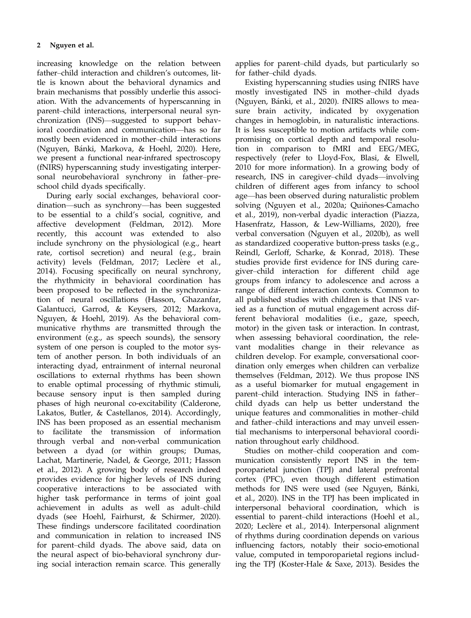increasing knowledge on the relation between father–child interaction and children's outcomes, little is known about the behavioral dynamics and brain mechanisms that possibly underlie this association. With the advancements of hyperscanning in parent–child interactions, interpersonal neural synchronization (INS)—suggested to support behavioral coordination and communication—has so far mostly been evidenced in mother–child interactions (Nguyen, Bánki, Markova, & Hoehl, 2020). Here, we present a functional near-infrared spectroscopy (fNIRS) hyperscanning study investigating interpersonal neurobehavioral synchrony in father–preschool child dyads specifically.

During early social exchanges, behavioral coordination—such as synchrony—has been suggested to be essential to a child's social, cognitive, and affective development (Feldman, 2012). More recently, this account was extended to also include synchrony on the physiological (e.g., heart rate, cortisol secretion) and neural (e.g., brain activity) levels (Feldman, 2017; Leclère et al., 2014). Focusing specifically on neural synchrony, the rhythmicity in behavioral coordination has been proposed to be reflected in the synchronization of neural oscillations (Hasson, Ghazanfar, Galantucci, Garrod, & Keysers, 2012; Markova, Nguyen, & Hoehl, 2019). As the behavioral communicative rhythms are transmitted through the environment (e.g., as speech sounds), the sensory system of one person is coupled to the motor system of another person. In both individuals of an interacting dyad, entrainment of internal neuronal oscillations to external rhythms has been shown to enable optimal processing of rhythmic stimuli, because sensory input is then sampled during phases of high neuronal co-excitability (Calderone, Lakatos, Butler, & Castellanos, 2014). Accordingly, INS has been proposed as an essential mechanism to facilitate the transmission of information through verbal and non-verbal communication between a dyad (or within groups; Dumas, Lachat, Martinerie, Nadel, & George, 2011; Hasson et al., 2012). A growing body of research indeed provides evidence for higher levels of INS during cooperative interactions to be associated with higher task performance in terms of joint goal achievement in adults as well as adult–child dyads (see Hoehl, Fairhurst, & Schirmer, 2020). These findings underscore facilitated coordination and communication in relation to increased INS for parent–child dyads. The above said, data on the neural aspect of bio-behavioral synchrony during social interaction remain scarce. This generally

applies for parent–child dyads, but particularly so for father–child dyads.

Existing hyperscanning studies using fNIRS have mostly investigated INS in mother–child dyads (Nguyen, Bánki, et al., 2020). fNIRS allows to measure brain activity, indicated by oxygenation changes in hemoglobin, in naturalistic interactions. It is less susceptible to motion artifacts while compromising on cortical depth and temporal resolution in comparison to fMRI and EEG/MEG, respectively (refer to Lloyd-Fox, Blasi, & Elwell, 2010 for more information). In a growing body of research, INS in caregiver–child dyads—involving children of different ages from infancy to school age—has been observed during naturalistic problem solving (Nguyen et al., 2020a; Quiñones-Camacho et al., 2019), non-verbal dyadic interaction (Piazza, Hasenfratz, Hasson, & Lew-Williams, 2020), free verbal conversation (Nguyen et al., 2020b), as well as standardized cooperative button-press tasks (e.g., Reindl, Gerloff, Scharke, & Konrad, 2018). These studies provide first evidence for INS during caregiver–child interaction for different child age groups from infancy to adolescence and across a range of different interaction contexts. Common to all published studies with children is that INS varied as a function of mutual engagement across different behavioral modalities (i.e., gaze, speech, motor) in the given task or interaction. In contrast, when assessing behavioral coordination, the relevant modalities change in their relevance as children develop. For example, conversational coordination only emerges when children can verbalize themselves (Feldman, 2012). We thus propose INS as a useful biomarker for mutual engagement in parent–child interaction. Studying INS in father– child dyads can help us better understand the unique features and commonalities in mother–child and father–child interactions and may unveil essential mechanisms to interpersonal behavioral coordination throughout early childhood.

Studies on mother–child cooperation and communication consistently report INS in the temporoparietal junction (TPJ) and lateral prefrontal cortex (PFC), even though different estimation methods for INS were used (see Nguyen, Bánki, et al., 2020). INS in the TPJ has been implicated in interpersonal behavioral coordination, which is essential to parent–child interactions (Hoehl et al., 2020; Leclère et al., 2014). Interpersonal alignment of rhythms during coordination depends on various influencing factors, notably their socio-emotional value, computed in temporoparietal regions including the TPJ (Koster-Hale & Saxe, 2013). Besides the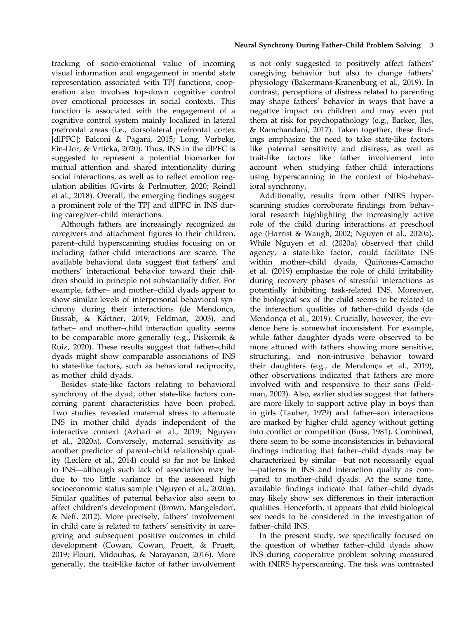tracking of socio-emotional value of incoming visual information and engagement in mental state representation associated with TPJ functions, cooperation also involves top-down cognitive control over emotional processes in social contexts. This function is associated with the engagement of a cognitive control system mainly localized in lateral prefrontal areas (i.e., dorsolateral prefrontal cortex [dlPFC]; Balconi & Pagani, 2015; Long, Verbeke, Ein-Dor, & Vrticka, 2020). Thus, INS in the dlPFC is suggested to represent a potential biomarker for mutual attention and shared intentionality during social interactions, as well as to reflect emotion regulation abilities (Gvirts & Perlmutter, 2020; Reindl et al., 2018). Overall, the emerging findings suggest a prominent role of the TPJ and dlPFC in INS during caregiver–child interactions.

Although fathers are increasingly recognized as caregivers and attachment figures to their children, parent–child hyperscanning studies focusing on or including father–child interactions are scarce. The available behavioral data suggest that fathers' and mothers' interactional behavior toward their children should in principle not substantially differ. For example, father– and mother–child dyads appear to show similar levels of interpersonal behavioral synchrony during their interactions (de Mendonça, Bussab, & Kärtner, 2019; Feldman, 2003), and father– and mother–child interaction quality seems to be comparable more generally (e.g., Piskernik & Ruiz, 2020). These results suggest that father–child dyads might show comparable associations of INS to state-like factors, such as behavioral reciprocity, as mother–child dyads.

Besides state-like factors relating to behavioral synchrony of the dyad, other state-like factors concerning parent characteristics have been probed. Two studies revealed maternal stress to attenuate INS in mother–child dyads independent of the interactive context (Azhari et al., 2019; Nguyen et al., 2020a). Conversely, maternal sensitivity as another predictor of parent–child relationship quality (Leclère et al., 2014) could so far not be linked to INS—although such lack of association may be due to too little variance in the assessed high socioeconomic status sample (Nguyen et al., 2020a). Similar qualities of paternal behavior also seem to affect children's development (Brown, Mangelsdorf, & Neff, 2012). More precisely, fathers' involvement in child care is related to fathers' sensitivity in caregiving and subsequent positive outcomes in child development (Cowan, Cowan, Pruett, & Pruett, 2019; Flouri, Midouhas, & Narayanan, 2016). More generally, the trait-like factor of father involvement is not only suggested to positively affect fathers' caregiving behavior but also to change fathers' physiology (Bakermans-Kranenburg et al., 2019). In contrast, perceptions of distress related to parenting may shape fathers' behavior in ways that have a negative impact on children and may even put them at risk for psychopathology (e.g., Barker, Iles, & Ramchandani, 2017). Taken together, these findings emphasize the need to take state-like factors like paternal sensitivity and distress, as well as trait-like factors like father involvement into account when studying father–child interactions using hyperscanning in the context of bio-behavioral synchrony.

Additionally, results from other fNIRS hyperscanning studies corroborate findings from behavioral research highlighting the increasingly active role of the child during interactions at preschool age (Harrist & Waugh, 2002; Nguyen et al., 2020a). While Nguyen et al. (2020a) observed that child agency, a state-like factor, could facilitate INS within mother-child dyads, Quiñones-Camacho et al. (2019) emphasize the role of child irritability during recovery phases of stressful interactions as potentially inhibiting task-related INS. Moreover, the biological sex of the child seems to be related to the interaction qualities of father–child dyads (de Mendonça et al., 2019). Crucially, however, the evidence here is somewhat inconsistent. For example, while father–daughter dyads were observed to be more attuned with fathers showing more sensitive, structuring, and non-intrusive behavior toward their daughters (e.g., de Mendonça et al., 2019), other observations indicated that fathers are more involved with and responsive to their sons (Feldman, 2003). Also, earlier studies suggest that fathers are more likely to support active play in boys than in girls (Tauber, 1979) and father–son interactions are marked by higher child agency without getting into conflict or competition (Buss, 1981). Combined, there seem to be some inconsistencies in behavioral findings indicating that father–child dyads may be characterized by similar—but not necessarily equal —patterns in INS and interaction quality as compared to mother–child dyads. At the same time, available findings indicate that father–child dyads may likely show sex differences in their interaction qualities. Henceforth, it appears that child biological sex needs to be considered in the investigation of father–child INS.

In the present study, we specifically focused on the question of whether father–child dyads show INS during cooperative problem solving measured with fNIRS hyperscanning. The task was contrasted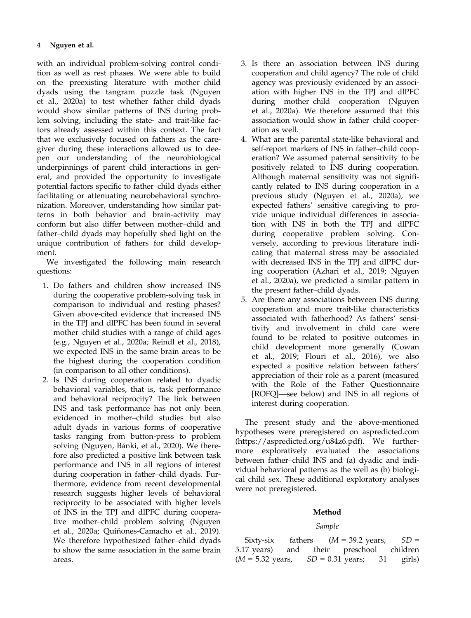with an individual problem-solving control condition as well as rest phases. We were able to build on the preexisting literature with mother–child dyads using the tangram puzzle task (Nguyen et al., 2020a) to test whether father–child dyads would show similar patterns of INS during problem solving, including the state- and trait-like factors already assessed within this context. The fact that we exclusively focused on fathers as the caregiver during these interactions allowed us to deepen our understanding of the neurobiological underpinnings of parent–child interactions in general, and provided the opportunity to investigate potential factors specific to father–child dyads either facilitating or attenuating neurobehavioral synchronization. Moreover, understanding how similar patterns in both behavior and brain-activity may conform but also differ between mother–child and father–child dyads may hopefully shed light on the unique contribution of fathers for child development.

We investigated the following main research questions:

- 1. Do fathers and children show increased INS during the cooperative problem-solving task in comparison to individual and resting phases? Given above-cited evidence that increased INS in the TPJ and dlPFC has been found in several mother–child studies with a range of child ages (e.g., Nguyen et al., 2020a; Reindl et al., 2018), we expected INS in the same brain areas to be the highest during the cooperation condition (in comparison to all other conditions).
- 2. Is INS during cooperation related to dyadic behavioral variables, that is, task performance and behavioral reciprocity? The link between INS and task performance has not only been evidenced in mother–child studies but also adult dyads in various forms of cooperative tasks ranging from button-press to problem solving (Nguyen, Bánki, et al., 2020). We therefore also predicted a positive link between task performance and INS in all regions of interest during cooperation in father–child dyads. Furthermore, evidence from recent developmental research suggests higher levels of behavioral reciprocity to be associated with higher levels of INS in the TPJ and dlPFC during cooperative mother–child problem solving (Nguyen et al., 2020a; Quiñones-Camacho et al., 2019). We therefore hypothesized father–child dyads to show the same association in the same brain areas.
- 3. Is there an association between INS during cooperation and child agency? The role of child agency was previously evidenced by an association with higher INS in the TPJ and dlPFC during mother–child cooperation (Nguyen et al., 2020a). We therefore assumed that this association would show in father–child cooperation as well.
- 4. What are the parental state-like behavioral and self-report markers of INS in father–child cooperation? We assumed paternal sensitivity to be positively related to INS during cooperation. Although maternal sensitivity was not significantly related to INS during cooperation in a previous study (Nguyen et al., 2020a), we expected fathers' sensitive caregiving to provide unique individual differences in association with INS in both the TPJ and dlPFC during cooperative problem solving. Conversely, according to previous literature indicating that maternal stress may be associated with decreased INS in the TPJ and dlPFC during cooperation (Azhari et al., 2019; Nguyen et al., 2020a), we predicted a similar pattern in the present father–child dyads.
- 5. Are there any associations between INS during cooperation and more trait-like characteristics associated with fatherhood? As fathers' sensitivity and involvement in child care were found to be related to positive outcomes in child development more generally (Cowan et al., 2019; Flouri et al., 2016), we also expected a positive relation between fathers' appreciation of their role as a parent (measured with the Role of the Father Questionnaire [ROFQ]—see below) and INS in all regions of interest during cooperation.

The present study and the above-mentioned hypotheses were preregistered on aspredicted.com (<https://aspredicted.org/u84z6.pdf>). We furthermore exploratively evaluated the associations between father–child INS and (a) dyadic and individual behavioral patterns as the well as (b) biological child sex. These additional exploratory analyses were not preregistered.

# Method

# Sample

Sixty-six fathers  $(M = 39.2 \text{ years}, SD =$ 5.17 years) and their preschool children  $(M = 5.32 \text{ years}, \quad SD = 0.31 \text{ years}; \quad 31 \text{ girls}$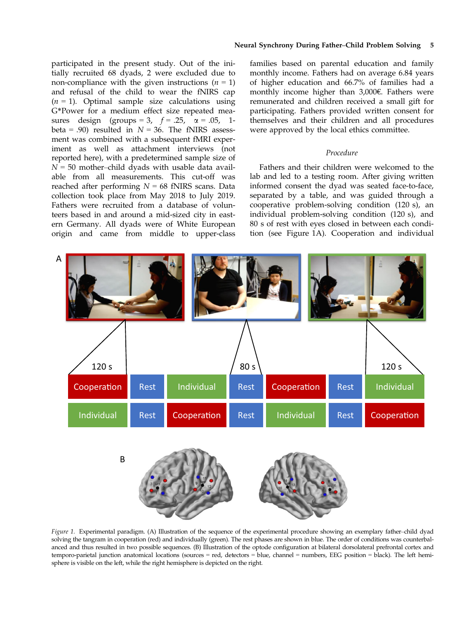#### Neural Synchrony During Father–Child Problem Solving 5

participated in the present study. Out of the initially recruited 68 dyads, 2 were excluded due to non-compliance with the given instructions  $(n = 1)$ and refusal of the child to wear the fNIRS cap  $(n = 1)$ . Optimal sample size calculations using G\*Power for a medium effect size repeated measures design (groups = 3,  $f = .25$ ,  $\alpha = .05$ , 1beta = .90) resulted in  $N = 36$ . The fNIRS assessment was combined with a subsequent fMRI experiment as well as attachment interviews (not reported here), with a predetermined sample size of  $N = 50$  mother–child dyads with usable data available from all measurements. This cut-off was reached after performing  $N = 68$  fNIRS scans. Data collection took place from May 2018 to July 2019. Fathers were recruited from a database of volunteers based in and around a mid-sized city in eastern Germany. All dyads were of White European origin and came from middle to upper-class families based on parental education and family monthly income. Fathers had on average 6.84 years of higher education and 66.7% of families had a monthly income higher than 3,000€. Fathers were remunerated and children received a small gift for participating. Fathers provided written consent for themselves and their children and all procedures were approved by the local ethics committee.

# Procedure

Fathers and their children were welcomed to the lab and led to a testing room. After giving written informed consent the dyad was seated face-to-face, separated by a table, and was guided through a cooperative problem-solving condition (120 s), an individual problem-solving condition (120 s), and 80 s of rest with eyes closed in between each condition (see Figure 1A). Cooperation and individual



Figure 1. Experimental paradigm. (A) Illustration of the sequence of the experimental procedure showing an exemplary father-child dyad solving the tangram in cooperation (red) and individually (green). The rest phases are shown in blue. The order of conditions was counterbalanced and thus resulted in two possible sequences. (B) Illustration of the optode configuration at bilateral dorsolateral prefrontal cortex and temporo-parietal junction anatomical locations (sources = red, detectors = blue, channel = numbers, EEG position = black). The left hemisphere is visible on the left, while the right hemisphere is depicted on the right.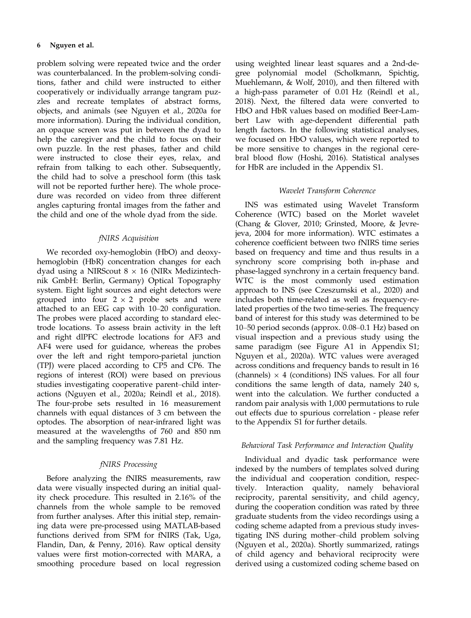problem solving were repeated twice and the order was counterbalanced. In the problem-solving conditions, father and child were instructed to either cooperatively or individually arrange tangram puzzles and recreate templates of abstract forms, objects, and animals (see Nguyen et al., 2020a for more information). During the individual condition, an opaque screen was put in between the dyad to help the caregiver and the child to focus on their own puzzle. In the rest phases, father and child were instructed to close their eyes, relax, and refrain from talking to each other. Subsequently, the child had to solve a preschool form (this task will not be reported further here). The whole procedure was recorded on video from three different angles capturing frontal images from the father and the child and one of the whole dyad from the side.

## fNIRS Acquisition

We recorded oxy-hemoglobin (HbO) and deoxyhemoglobin (HbR) concentration changes for each dyad using a NIRScout  $8 \times 16$  (NIRx Medizintechnik GmbH: Berlin, Germany) Optical Topography system. Eight light sources and eight detectors were grouped into four  $2 \times 2$  probe sets and were attached to an EEG cap with 10–20 configuration. The probes were placed according to standard electrode locations. To assess brain activity in the left and right dlPFC electrode locations for AF3 and AF4 were used for guidance, whereas the probes over the left and right temporo-parietal junction (TPJ) were placed according to CP5 and CP6. The regions of interest (ROI) were based on previous studies investigating cooperative parent–child interactions (Nguyen et al., 2020a; Reindl et al., 2018). The four-probe sets resulted in 16 measurement channels with equal distances of 3 cm between the optodes. The absorption of near-infrared light was measured at the wavelengths of 760 and 850 nm and the sampling frequency was 7.81 Hz.

# fNIRS Processing

Before analyzing the fNIRS measurements, raw data were visually inspected during an initial quality check procedure. This resulted in 2.16% of the channels from the whole sample to be removed from further analyses. After this initial step, remaining data were pre-processed using MATLAB-based functions derived from SPM for fNIRS (Tak, Uga, Flandin, Dan, & Penny, 2016). Raw optical density values were first motion-corrected with MARA, a smoothing procedure based on local regression using weighted linear least squares and a 2nd-degree polynomial model (Scholkmann, Spichtig, Muehlemann, & Wolf, 2010), and then filtered with a high-pass parameter of 0.01 Hz (Reindl et al., 2018). Next, the filtered data were converted to HbO and HbR values based on modified Beer-Lambert Law with age-dependent differential path length factors. In the following statistical analyses, we focused on HbO values, which were reported to be more sensitive to changes in the regional cerebral blood flow (Hoshi, 2016). Statistical analyses for HbR are included in the Appendix S1.

#### Wavelet Transform Coherence

INS was estimated using Wavelet Transform Coherence (WTC) based on the Morlet wavelet (Chang & Glover, 2010; Grinsted, Moore, & Jevrejeva, 2004 for more information). WTC estimates a coherence coefficient between two fNIRS time series based on frequency and time and thus results in a synchrony score comprising both in-phase and phase-lagged synchrony in a certain frequency band. WTC is the most commonly used estimation approach to INS (see Czeszumski et al., 2020) and includes both time-related as well as frequency-related properties of the two time-series. The frequency band of interest for this study was determined to be 10–50 period seconds (approx. 0.08–0.1 Hz) based on visual inspection and a previous study using the same paradigm (see Figure A1 in Appendix S1; Nguyen et al., 2020a). WTC values were averaged across conditions and frequency bands to result in 16 (channels)  $\times$  4 (conditions) INS values. For all four conditions the same length of data, namely 240 s, went into the calculation. We further conducted a random pair analysis with 1,000 permutations to rule out effects due to spurious correlation - please refer to the Appendix S1 for further details.

#### Behavioral Task Performance and Interaction Quality

Individual and dyadic task performance were indexed by the numbers of templates solved during the individual and cooperation condition, respectively. Interaction quality, namely behavioral reciprocity, parental sensitivity, and child agency, during the cooperation condition was rated by three graduate students from the video recordings using a coding scheme adapted from a previous study investigating INS during mother–child problem solving (Nguyen et al., 2020a). Shortly summarized, ratings of child agency and behavioral reciprocity were derived using a customized coding scheme based on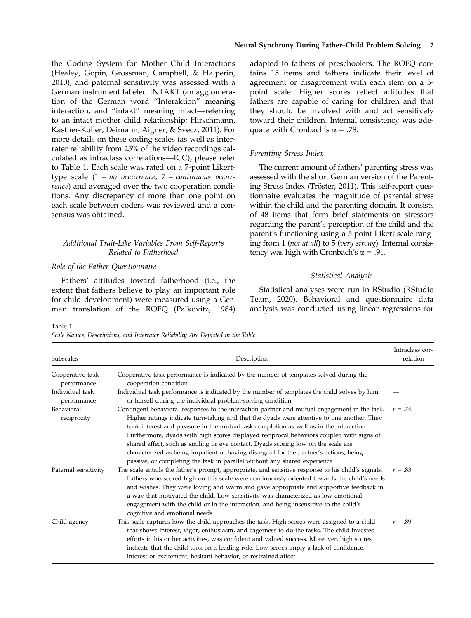the Coding System for Mother–Child Interactions (Healey, Gopin, Grossman, Campbell, & Halperin, 2010), and paternal sensitivity was assessed with a German instrument labeled INTAKT (an agglomeration of the German word "Interaktion" meaning interaction, and "intakt" meaning intact—referring to an intact mother child relationship; Hirschmann, Kastner-Koller, Deimann, Aigner, & Svecz, 2011). For more details on these coding scales (as well as interrater reliability from 25% of the video recordings calculated as intraclass correlations—ICC), please refer to Table 1. Each scale was rated on a 7-point Likerttype scale  $(1 = no occurrence, 7 = continuous occur$ rence) and averaged over the two cooperation conditions. Any discrepancy of more than one point on each scale between coders was reviewed and a consensus was obtained.

# Additional Trait-Like Variables From Self-Reports Related to Fatherhood

#### Role of the Father Questionnaire

Fathers' attitudes toward fatherhood (i.e., the extent that fathers believe to play an important role for child development) were measured using a German translation of the ROFQ (Palkovitz, 1984)

adapted to fathers of preschoolers. The ROFQ contains 15 items and fathers indicate their level of agreement or disagreement with each item on a 5 point scale. Higher scores reflect attitudes that fathers are capable of caring for children and that they should be involved with and act sensitively toward their children. Internal consistency was adequate with Cronbach's  $\alpha$  = .78.

#### Parenting Stress Index

The current amount of fathers' parenting stress was assessed with the short German version of the Parenting Stress Index (Tröster, 2011). This self-report questionnaire evaluates the magnitude of parental stress within the child and the parenting domain. It consists of 48 items that form brief statements on stressors regarding the parent's perception of the child and the parent's functioning using a 5-point Likert scale ranging from 1 (not at all) to 5 (very strong). Internal consistency was high with Cronbach's  $\alpha$  = .91.

#### Statistical Analysis

Statistical analyses were run in RStudio (RStudio Team, 2020). Behavioral and questionnaire data analysis was conducted using linear regressions for

Table 1

Scale Names, Descriptions, and Interrater Reliability Are Depicted in the Table

| Subscales                       | Description                                                                                                                                                                                                                                                                                                                                                                                                                                                                                                                                                                                                                                   | Intraclass cor-<br>relation |
|---------------------------------|-----------------------------------------------------------------------------------------------------------------------------------------------------------------------------------------------------------------------------------------------------------------------------------------------------------------------------------------------------------------------------------------------------------------------------------------------------------------------------------------------------------------------------------------------------------------------------------------------------------------------------------------------|-----------------------------|
| Cooperative task<br>performance | Cooperative task performance is indicated by the number of templates solved during the<br>cooperation condition                                                                                                                                                                                                                                                                                                                                                                                                                                                                                                                               |                             |
| Individual task<br>performance  | Individual task performance is indicated by the number of templates the child solves by him<br>or herself during the individual problem-solving condition                                                                                                                                                                                                                                                                                                                                                                                                                                                                                     |                             |
| Behavioral<br>reciprocity       | Contingent behavioral responses to the interaction partner and mutual engagement in the task.<br>Higher ratings indicate turn-taking and that the dyads were attentive to one another. They<br>took interest and pleasure in the mutual task completion as well as in the interaction.<br>Furthermore, dyads with high scores displayed reciprocal behaviors coupled with signs of<br>shared affect, such as smiling or eye contact. Dyads scoring low on the scale are<br>characterized as being impatient or having disregard for the partner's actions, being<br>passive, or completing the task in parallel without any shared experience | $r = .74$                   |
| Paternal sensitivity            | The scale entails the father's prompt, appropriate, and sensitive response to his child's signals.<br>Fathers who scored high on this scale were continuously oriented towards the child's needs<br>and wishes. They were loving and warm and gave appropriate and supportive feedback in<br>a way that motivated the child. Low sensitivity was characterized as low emotional<br>engagement with the child or in the interaction, and being insensitive to the child's<br>cognitive and emotional needs                                                                                                                                     | $r = .83$                   |
| Child agency                    | This scale captures how the child approaches the task. High scores were assigned to a child<br>that shows interest, vigor, enthusiasm, and eagerness to do the tasks. The child invested<br>efforts in his or her activities, was confident and valued success. Moreover, high scores<br>indicate that the child took on a leading role. Low scores imply a lack of confidence,<br>interest or excitement, hesitant behavior, or restrained affect                                                                                                                                                                                            | $r = .89$                   |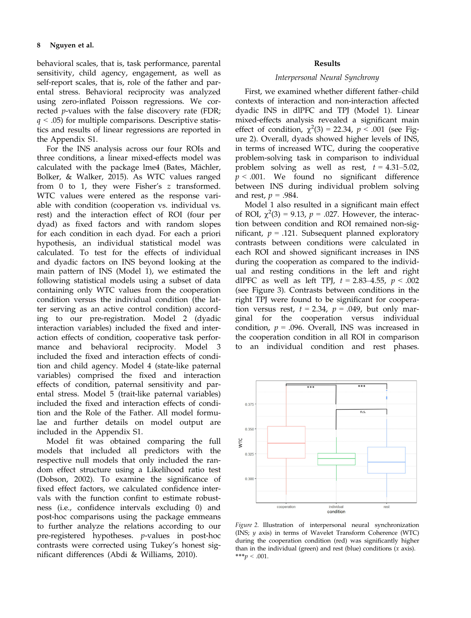behavioral scales, that is, task performance, parental sensitivity, child agency, engagement, as well as self-report scales, that is, role of the father and parental stress. Behavioral reciprocity was analyzed using zero-inflated Poisson regressions. We corrected *p*-values with the false discovery rate (FDR;  $q < .05$ ) for multiple comparisons. Descriptive statistics and results of linear regressions are reported in the Appendix S1.

For the INS analysis across our four ROIs and three conditions, a linear mixed-effects model was calculated with the package lme4 (Bates, Mächler, Bolker, & Walker, 2015). As WTC values ranged from 0 to 1, they were Fisher's z transformed. WTC values were entered as the response variable with condition (cooperation vs. individual vs. rest) and the interaction effect of ROI (four per dyad) as fixed factors and with random slopes for each condition in each dyad. For each a priori hypothesis, an individual statistical model was calculated. To test for the effects of individual and dyadic factors on INS beyond looking at the main pattern of INS (Model 1), we estimated the following statistical models using a subset of data containing only WTC values from the cooperation condition versus the individual condition (the latter serving as an active control condition) according to our pre-registration. Model 2 (dyadic interaction variables) included the fixed and interaction effects of condition, cooperative task performance and behavioral reciprocity. Model 3 included the fixed and interaction effects of condition and child agency. Model 4 (state-like paternal variables) comprised the fixed and interaction effects of condition, paternal sensitivity and parental stress. Model 5 (trait-like paternal variables) included the fixed and interaction effects of condition and the Role of the Father. All model formulae and further details on model output are included in the Appendix S1.

Model fit was obtained comparing the full models that included all predictors with the respective null models that only included the random effect structure using a Likelihood ratio test (Dobson, 2002). To examine the significance of fixed effect factors, we calculated confidence intervals with the function confint to estimate robustness (i.e., confidence intervals excluding 0) and post-hoc comparisons using the package emmeans to further analyze the relations according to our pre-registered hypotheses. p-values in post-hoc contrasts were corrected using Tukey's honest significant differences (Abdi & Williams, 2010).

## Results

## Interpersonal Neural Synchrony

First, we examined whether different father–child contexts of interaction and non-interaction affected dyadic INS in dlPFC and TPJ (Model 1). Linear mixed-effects analysis revealed a significant main effect of condition,  $\chi^2(3) = 22.34$ ,  $p < .001$  (see Figure 2). Overall, dyads showed higher levels of INS, in terms of increased WTC, during the cooperative problem-solving task in comparison to individual problem solving as well as rest,  $t = 4.31 - 5.02$ ,  $p < .001$ . We found no significant difference between INS during individual problem solving and rest,  $p = .984$ .

Model 1 also resulted in a significant main effect of ROI,  $\chi^2(3) = 9.13$ ,  $p = .027$ . However, the interaction between condition and ROI remained non-significant,  $p = .121$ . Subsequent planned exploratory contrasts between conditions were calculated in each ROI and showed significant increases in INS during the cooperation as compared to the individual and resting conditions in the left and right dlPFC as well as left TPJ,  $t = 2.83-4.55$ ,  $p < .002$ (see Figure 3). Contrasts between conditions in the right TPJ were found to be significant for cooperation versus rest,  $t = 2.34$ ,  $p = .049$ , but only marginal for the cooperation versus individual condition,  $p = .096$ . Overall, INS was increased in the cooperation condition in all ROI in comparison to an individual condition and rest phases.



Figure 2. Illustration of interpersonal neural synchronization (INS; y axis) in terms of Wavelet Transform Coherence (WTC) during the cooperation condition (red) was significantly higher than in the individual (green) and rest (blue) conditions  $(x \text{ axis})$ . \*\*\*p < .001.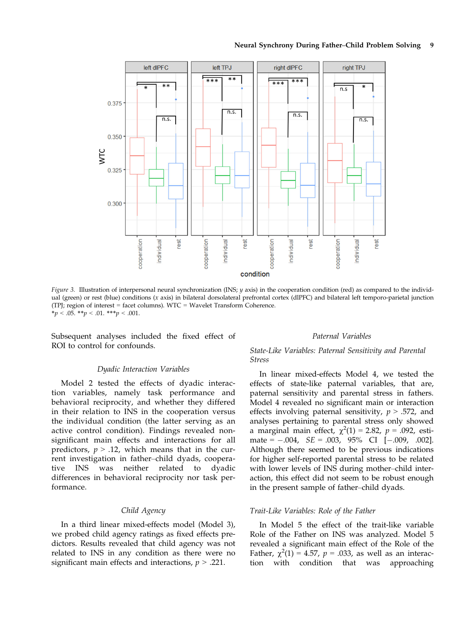#### Neural Synchrony During Father–Child Problem Solving 9



Figure 3. Illustration of interpersonal neural synchronization (INS; y axis) in the cooperation condition (red) as compared to the individual (green) or rest (blue) conditions (x axis) in bilateral dorsolateral prefrontal cortex (dlPFC) and bilateral left temporo-parietal junction (TPJ; region of interest = facet columns). WTC = Wavelet Transform Coherence.  $**p* < .05. ***p* < .01. ****p* < .001.$ 

Subsequent analyses included the fixed effect of ROI to control for confounds.

# Dyadic Interaction Variables

Model 2 tested the effects of dyadic interaction variables, namely task performance and behavioral reciprocity, and whether they differed in their relation to INS in the cooperation versus the individual condition (the latter serving as an active control condition). Findings revealed nonsignificant main effects and interactions for all predictors,  $p > .12$ , which means that in the current investigation in father–child dyads, cooperative INS was neither related to dyadic differences in behavioral reciprocity nor task performance.

# Child Agency

In a third linear mixed-effects model (Model 3), we probed child agency ratings as fixed effects predictors. Results revealed that child agency was not related to INS in any condition as there were no significant main effects and interactions,  $p > .221$ .

# Paternal Variables

# State-Like Variables: Paternal Sensitivity and Parental Stress

In linear mixed-effects Model 4, we tested the effects of state-like paternal variables, that are, paternal sensitivity and parental stress in fathers. Model 4 revealed no significant main or interaction effects involving paternal sensitivity,  $p > .572$ , and analyses pertaining to parental stress only showed a marginal main effect,  $\chi^2(1) = 2.82$ ,  $p = .092$ , estimate =  $-.004$ ,  $SE = .003$ ,  $95\%$  CI  $[-.009, .002]$ . Although there seemed to be previous indications for higher self-reported parental stress to be related with lower levels of INS during mother–child interaction, this effect did not seem to be robust enough in the present sample of father–child dyads.

#### Trait-Like Variables: Role of the Father

In Model 5 the effect of the trait-like variable Role of the Father on INS was analyzed. Model 5 revealed a significant main effect of the Role of the Father,  $\chi^2(1) = 4.57$ ,  $p = .033$ , as well as an interaction with condition that was approaching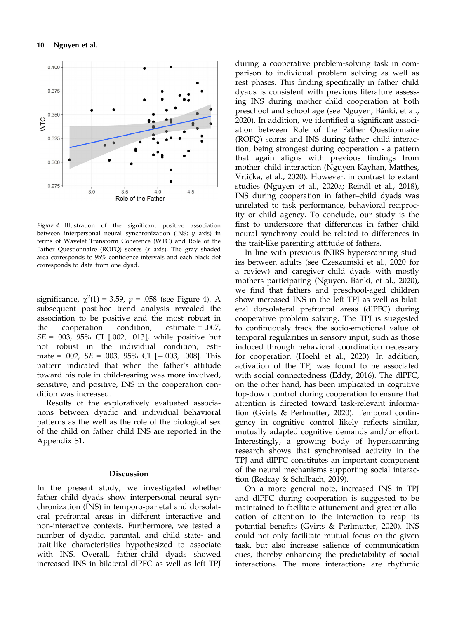

Figure 4. Illustration of the significant positive association between interpersonal neural synchronization (INS;  $y$  axis) in terms of Wavelet Transform Coherence (WTC) and Role of the Father Questionnaire (ROFQ) scores (x axis). The gray shaded area corresponds to 95% confidence intervals and each black dot corresponds to data from one dyad.

significance,  $\chi^2(1) = 3.59$ ,  $p = .058$  (see Figure 4). A subsequent post-hoc trend analysis revealed the association to be positive and the most robust in the cooperation condition, estimate = .007,  $SE = .003, 95\% \text{ CI}$  [.002, .013], while positive but not robust in the individual condition, estimate = .002,  $SE = .003$ ,  $95\%$  CI  $[-.003, .008]$ . This pattern indicated that when the father's attitude toward his role in child-rearing was more involved, sensitive, and positive, INS in the cooperation condition was increased.

Results of the exploratively evaluated associations between dyadic and individual behavioral patterns as the well as the role of the biological sex of the child on father–child INS are reported in the Appendix S1.

#### Discussion

In the present study, we investigated whether father–child dyads show interpersonal neural synchronization (INS) in temporo-parietal and dorsolateral prefrontal areas in different interactive and non-interactive contexts. Furthermore, we tested a number of dyadic, parental, and child state- and trait-like characteristics hypothesized to associate with INS. Overall, father–child dyads showed increased INS in bilateral dlPFC as well as left TPJ during a cooperative problem-solving task in comparison to individual problem solving as well as rest phases. This finding specifically in father–child dyads is consistent with previous literature assessing INS during mother–child cooperation at both preschool and school age (see Nguyen, Bánki, et al., 2020). In addition, we identified a significant association between Role of the Father Questionnaire (ROFQ) scores and INS during father–child interaction, being strongest during cooperation - a pattern that again aligns with previous findings from mother–child interaction (Nguyen Kayhan, Matthes, Vrticka, et al., 2020). However, in contrast to extant studies (Nguyen et al., 2020a; Reindl et al., 2018), INS during cooperation in father–child dyads was unrelated to task performance, behavioral reciprocity or child agency. To conclude, our study is the first to underscore that differences in father–child neural synchrony could be related to differences in the trait-like parenting attitude of fathers.

In line with previous fNIRS hyperscanning studies between adults (see Czeszumski et al., 2020 for a review) and caregiver–child dyads with mostly mothers participating (Nguyen, Bánki, et al., 2020), we find that fathers and preschool-aged children show increased INS in the left TPJ as well as bilateral dorsolateral prefrontal areas (dlPFC) during cooperative problem solving. The TPJ is suggested to continuously track the socio-emotional value of temporal regularities in sensory input, such as those induced through behavioral coordination necessary for cooperation (Hoehl et al., 2020). In addition, activation of the TPJ was found to be associated with social connectedness (Eddy, 2016). The dlPFC, on the other hand, has been implicated in cognitive top-down control during cooperation to ensure that attention is directed toward task-relevant information (Gvirts & Perlmutter, 2020). Temporal contingency in cognitive control likely reflects similar, mutually adapted cognitive demands and/or effort. Interestingly, a growing body of hyperscanning research shows that synchronised activity in the TPJ and dlPFC constitutes an important component of the neural mechanisms supporting social interaction (Redcay & Schilbach, 2019).

On a more general note, increased INS in TPJ and dlPFC during cooperation is suggested to be maintained to facilitate attunement and greater allocation of attention to the interaction to reap its potential benefits (Gvirts & Perlmutter, 2020). INS could not only facilitate mutual focus on the given task, but also increase salience of communication cues, thereby enhancing the predictability of social interactions. The more interactions are rhythmic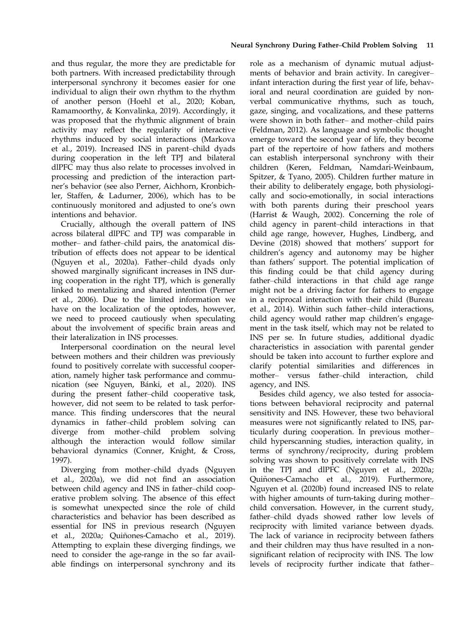and thus regular, the more they are predictable for both partners. With increased predictability through interpersonal synchrony it becomes easier for one individual to align their own rhythm to the rhythm of another person (Hoehl et al., 2020; Koban, Ramamoorthy, & Konvalinka, 2019). Accordingly, it was proposed that the rhythmic alignment of brain activity may reflect the regularity of interactive rhythms induced by social interactions (Markova et al., 2019). Increased INS in parent–child dyads during cooperation in the left TPJ and bilateral dlPFC may thus also relate to processes involved in processing and prediction of the interaction partner's behavior (see also Perner, Aichhorn, Kronbichler, Staffen, & Ladurner, 2006), which has to be continuously monitored and adjusted to one's own intentions and behavior.

Crucially, although the overall pattern of INS across bilateral dlPFC and TPJ was comparable in mother– and father–child pairs, the anatomical distribution of effects does not appear to be identical (Nguyen et al., 2020a). Father–child dyads only showed marginally significant increases in INS during cooperation in the right TPJ, which is generally linked to mentalizing and shared intention (Perner et al., 2006). Due to the limited information we have on the localization of the optodes, however, we need to proceed cautiously when speculating about the involvement of specific brain areas and their lateralization in INS processes.

Interpersonal coordination on the neural level between mothers and their children was previously found to positively correlate with successful cooperation, namely higher task performance and communication (see Nguyen, Bánki, et al., 2020). INS during the present father–child cooperative task, however, did not seem to be related to task performance. This finding underscores that the neural dynamics in father–child problem solving can diverge from mother–child problem solving although the interaction would follow similar behavioral dynamics (Conner, Knight, & Cross, 1997).

Diverging from mother–child dyads (Nguyen et al., 2020a), we did not find an association between child agency and INS in father–child cooperative problem solving. The absence of this effect is somewhat unexpected since the role of child characteristics and behavior has been described as essential for INS in previous research (Nguyen et al., 2020a; Quiñones-Camacho et al., 2019). Attempting to explain these diverging findings, we need to consider the age-range in the so far available findings on interpersonal synchrony and its role as a mechanism of dynamic mutual adjustments of behavior and brain activity. In caregiver– infant interaction during the first year of life, behavioral and neural coordination are guided by nonverbal communicative rhythms, such as touch, gaze, singing, and vocalizations, and these patterns were shown in both father– and mother–child pairs (Feldman, 2012). As language and symbolic thought emerge toward the second year of life, they become part of the repertoire of how fathers and mothers can establish interpersonal synchrony with their children (Keren, Feldman, Namdari-Weinbaum, Spitzer, & Tyano, 2005). Children further mature in their ability to deliberately engage, both physiologically and socio-emotionally, in social interactions with both parents during their preschool years (Harrist & Waugh, 2002). Concerning the role of child agency in parent–child interactions in that child age range, however, Hughes, Lindberg, and Devine (2018) showed that mothers' support for children's agency and autonomy may be higher than fathers' support. The potential implication of this finding could be that child agency during father–child interactions in that child age range might not be a driving factor for fathers to engage in a reciprocal interaction with their child (Bureau et al., 2014). Within such father–child interactions, child agency would rather map children's engagement in the task itself, which may not be related to INS per se. In future studies, additional dyadic characteristics in association with parental gender should be taken into account to further explore and clarify potential similarities and differences in mother– versus father–child interaction, child agency, and INS.

Besides child agency, we also tested for associations between behavioral reciprocity and paternal sensitivity and INS. However, these two behavioral measures were not significantly related to INS, particularly during cooperation. In previous mother– child hyperscanning studies, interaction quality, in terms of synchrony/reciprocity, during problem solving was shown to positively correlate with INS in the TPJ and dlPFC (Nguyen et al., 2020a; Quiñones-Camacho et al., 2019). Furthermore, Nguyen et al. (2020b) found increased INS to relate with higher amounts of turn-taking during mother– child conversation. However, in the current study, father–child dyads showed rather low levels of reciprocity with limited variance between dyads. The lack of variance in reciprocity between fathers and their children may thus have resulted in a nonsignificant relation of reciprocity with INS. The low levels of reciprocity further indicate that father–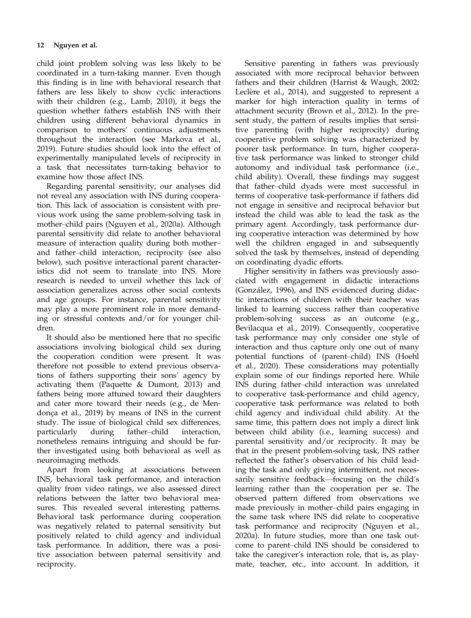child joint problem solving was less likely to be coordinated in a turn-taking manner. Even though this finding is in line with behavioral research that fathers are less likely to show cyclic interactions with their children (e.g., Lamb, 2010), it begs the question whether fathers establish INS with their children using different behavioral dynamics in comparison to mothers' continuous adjustments throughout the interaction (see Markova et al., 2019). Future studies should look into the effect of experimentally manipulated levels of reciprocity in a task that necessitates turn-taking behavior to examine how those affect INS.

Regarding parental sensitivity, our analyses did not reveal any association with INS during cooperation. This lack of association is consistent with previous work using the same problem-solving task in mother–child pairs (Nguyen et al., 2020a). Although parental sensitivity did relate to another behavioral measure of interaction quality during both mother– and father–child interaction, reciprocity (see also below), such positive interactional parent characteristics did not seem to translate into INS. More research is needed to unveil whether this lack of association generalizes across other social contexts and age groups. For instance, parental sensitivity may play a more prominent role in more demanding or stressful contexts and/or for younger children.

It should also be mentioned here that no specific associations involving biological child sex during the cooperation condition were present. It was therefore not possible to extend previous observations of fathers supporting their sons' agency by activating them (Paquette & Dumont, 2013) and fathers being more attuned toward their daughters and cater more toward their needs (e.g., de Mendonca et al., 2019) by means of INS in the current study. The issue of biological child sex differences, particularly during father–child interaction, nonetheless remains intriguing and should be further investigated using both behavioral as well as neuroimaging methods.

Apart from looking at associations between INS, behavioral task performance, and interaction quality from video ratings, we also assessed direct relations between the latter two behavioral measures. This revealed several interesting patterns. Behavioral task performance during cooperation was negatively related to paternal sensitivity but positively related to child agency and individual task performance. In addition, there was a positive association between paternal sensitivity and reciprocity.

Sensitive parenting in fathers was previously associated with more reciprocal behavior between fathers and their children (Harrist & Waugh, 2002; Leclère et al., 2014), and suggested to represent a marker for high interaction quality in terms of attachment security (Brown et al., 2012). In the present study, the pattern of results implies that sensitive parenting (with higher reciprocity) during cooperative problem solving was characterized by poorer task performance. In turn, higher cooperative task performance was linked to stronger child autonomy and individual task performance (i.e., child ability). Overall, these findings may suggest that father–child dyads were most successful in terms of cooperative task-performance if fathers did not engage in sensitive and reciprocal behavior but instead the child was able to lead the task as the primary agent. Accordingly, task performance during cooperative interaction was determined by how well the children engaged in and subsequently solved the task by themselves, instead of depending on coordinating dyadic efforts.

Higher sensitivity in fathers was previously associated with engagement in didactic interactions (González, 1996), and INS evidenced during didactic interactions of children with their teacher was linked to learning success rather than cooperative problem-solving success as an outcome (e.g., Bevilacqua et al., 2019). Consequently, cooperative task performance may only consider one style of interaction and thus capture only one out of many potential functions of (parent–child) INS (Hoehl et al., 2020). These considerations may potentially explain some of our findings reported here. While INS during father–child interaction was unrelated to cooperative task-performance and child agency, cooperative task performance was related to both child agency and individual child ability. At the same time, this pattern does not imply a direct link between child ability (i.e., learning success) and parental sensitivity and/or reciprocity. It may be that in the present problem-solving task, INS rather reflected the father's observation of his child leading the task and only giving intermittent, not necessarily sensitive feedback—focusing on the child's learning rather than the cooperation per se. The observed pattern differed from observations we made previously in mother–child pairs engaging in the same task where INS did relate to cooperative task performance and reciprocity (Nguyen et al., 2020a). In future studies, more than one task outcome to parent–child INS should be considered to take the caregiver's interaction role, that is, as playmate, teacher, etc., into account. In addition, it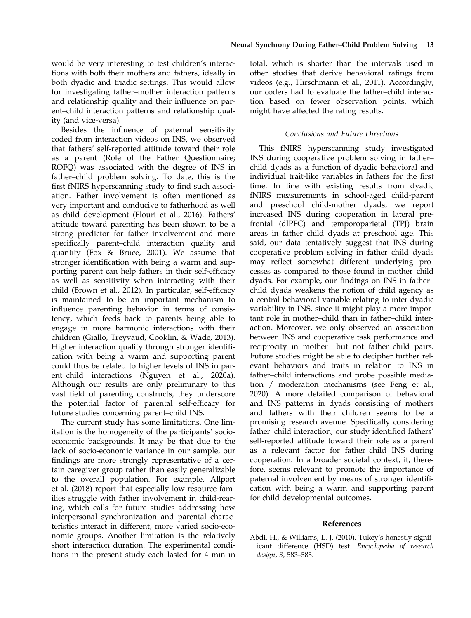would be very interesting to test children's interactions with both their mothers and fathers, ideally in both dyadic and triadic settings. This would allow for investigating father–mother interaction patterns and relationship quality and their influence on parent–child interaction patterns and relationship quality (and vice-versa).

Besides the influence of paternal sensitivity coded from interaction videos on INS, we observed that fathers' self-reported attitude toward their role as a parent (Role of the Father Questionnaire; ROFQ) was associated with the degree of INS in father–child problem solving. To date, this is the first fNIRS hyperscanning study to find such association. Father involvement is often mentioned as very important and conducive to fatherhood as well as child development (Flouri et al., 2016). Fathers' attitude toward parenting has been shown to be a strong predictor for father involvement and more specifically parent–child interaction quality and quantity (Fox & Bruce, 2001). We assume that stronger identification with being a warm and supporting parent can help fathers in their self-efficacy as well as sensitivity when interacting with their child (Brown et al., 2012). In particular, self-efficacy is maintained to be an important mechanism to influence parenting behavior in terms of consistency, which feeds back to parents being able to engage in more harmonic interactions with their children (Giallo, Treyvaud, Cooklin, & Wade, 2013). Higher interaction quality through stronger identification with being a warm and supporting parent could thus be related to higher levels of INS in parent–child interactions (Nguyen et al., 2020a). Although our results are only preliminary to this vast field of parenting constructs, they underscore the potential factor of parental self-efficacy for future studies concerning parent–child INS.

The current study has some limitations. One limitation is the homogeneity of the participants' socioeconomic backgrounds. It may be that due to the lack of socio-economic variance in our sample, our findings are more strongly representative of a certain caregiver group rather than easily generalizable to the overall population. For example, Allport et al. (2018) report that especially low-resource families struggle with father involvement in child-rearing, which calls for future studies addressing how interpersonal synchronization and parental characteristics interact in different, more varied socio-economic groups. Another limitation is the relatively short interaction duration. The experimental conditions in the present study each lasted for 4 min in total, which is shorter than the intervals used in other studies that derive behavioral ratings from videos (e.g., Hirschmann et al., 2011). Accordingly, our coders had to evaluate the father–child interaction based on fewer observation points, which might have affected the rating results.

# Conclusions and Future Directions

This fNIRS hyperscanning study investigated INS during cooperative problem solving in father– child dyads as a function of dyadic behavioral and individual trait-like variables in fathers for the first time. In line with existing results from dyadic fNIRS measurements in school-aged child-parent and preschool child-mother dyads, we report increased INS during cooperation in lateral prefrontal (dlPFC) and temporoparietal (TPJ) brain areas in father–child dyads at preschool age. This said, our data tentatively suggest that INS during cooperative problem solving in father–child dyads may reflect somewhat different underlying processes as compared to those found in mother–child dyads. For example, our findings on INS in father– child dyads weakens the notion of child agency as a central behavioral variable relating to inter-dyadic variability in INS, since it might play a more important role in mother–child than in father–child interaction. Moreover, we only observed an association between INS and cooperative task performance and reciprocity in mother– but not father–child pairs. Future studies might be able to decipher further relevant behaviors and traits in relation to INS in father–child interactions and probe possible mediation / moderation mechanisms (see Feng et al., 2020). A more detailed comparison of behavioral and INS patterns in dyads consisting of mothers and fathers with their children seems to be a promising research avenue. Specifically considering father–child interaction, our study identified fathers' self-reported attitude toward their role as a parent as a relevant factor for father–child INS during cooperation. In a broader societal context, it, therefore, seems relevant to promote the importance of paternal involvement by means of stronger identification with being a warm and supporting parent for child developmental outcomes.

#### References

Abdi, H., & Williams, L. J. (2010). Tukey's honestly significant difference (HSD) test. Encyclopedia of research design, 3, 583–585.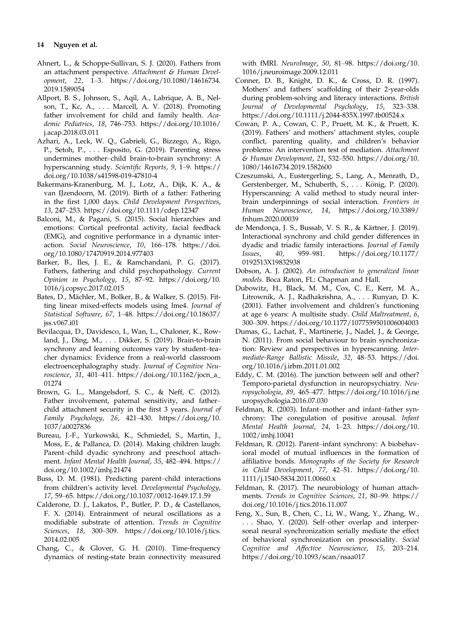# 14 Nguyen et al.

- Ahnert, L., & Schoppe-Sullivan, S. J. (2020). Fathers from an attachment perspective. Attachment & Human Development, 22, 1–3. [https://doi.org/10.1080/14616734.](https://doi.org/10.1080/14616734.2019.1589054) [2019.1589054](https://doi.org/10.1080/14616734.2019.1589054)
- Allport, B. S., Johnson, S., Aqil, A., Labrique, A. B., Nelson, T., Kc, A., . . . Marcell, A. V. (2018). Promoting father involvement for child and family health. Academic Pediatrics, 18, 746–753. [https://doi.org/10.1016/](https://doi.org/10.1016/j.acap.2018.03.011) [j.acap.2018.03.011](https://doi.org/10.1016/j.acap.2018.03.011)
- Azhari, A., Leck, W. Q., Gabrieli, G., Bizzego, A., Rigo, P., Setoh, P., . . . Esposito, G. (2019). Parenting stress undermines mother–child brain-to-brain synchrony: A hyperscanning study. Scientific Reports, 9, 1–9. [https://](https://doi.org/10.1038/s41598-019-47810-4) [doi.org/10.1038/s41598-019-47810-4](https://doi.org/10.1038/s41598-019-47810-4)
- Bakermans-Kranenburg, M. J., Lotz, A., Dijk, K. A., & van IJzendoorn, M. (2019). Birth of a father: Fathering in the first 1,000 days. Child Development Perspectives, 13, 247–253.<https://doi.org/10.1111/cdep.12347>
- Balconi, M., & Pagani, S. (2015). Social hierarchies and emotions: Cortical prefrontal activity, facial feedback (EMG), and cognitive performance in a dynamic interaction. Social Neuroscience, 10, 166–178. [https://doi.](https://doi.org/10.1080/17470919.2014.977403) [org/10.1080/17470919.2014.977403](https://doi.org/10.1080/17470919.2014.977403)
- Barker, B., Iles, J. E., & Ramchandani, P. G. (2017). Fathers, fathering and child psychopathology. Current Opinion in Psychology, 15, 87–92. [https://doi.org/10.](https://doi.org/10.1016/j.copsyc.2017.02.015) [1016/j.copsyc.2017.02.015](https://doi.org/10.1016/j.copsyc.2017.02.015)
- Bates, D., Mächler, M., Bolker, B., & Walker, S. (2015). Fitting linear mixed-effects models using lme4. Journal of Statistical Software, 67, 1–48. [https://doi.org/10.18637/](https://doi.org/10.18637/jss.v067.i01) [jss.v067.i01](https://doi.org/10.18637/jss.v067.i01)
- Bevilacqua, D., Davidesco, I., Wan, L., Chaloner, K., Rowland, J., Ding, M., . . . Dikker, S. (2019). Brain-to-brain synchrony and learning outcomes vary by student–teacher dynamics: Evidence from a real-world classroom electroencephalography study. Journal of Cognitive Neuroscience, 31, 401–411. [https://doi.org/10.1162/jocn\\_a\\_](https://doi.org/10.1162/jocn_a_01274) [01274](https://doi.org/10.1162/jocn_a_01274)
- Brown, G. L., Mangelsdorf, S. C., & Neff, C. (2012). Father involvement, paternal sensitivity, and father– child attachment security in the first 3 years. Journal of Family Psychology, 26, 421–430. [https://doi.org/10.](https://doi.org/10.1037/a0027836) [1037/a0027836](https://doi.org/10.1037/a0027836)
- Bureau, J.-F., Yurkowski, K., Schmiedel, S., Martin, J., Moss, E., & Pallanca, D. (2014). Making children laugh: Parent–child dyadic synchrony and preschool attachment. Infant Mental Health Journal, 35, 482–494. [https://](https://doi.org/10.1002/imhj.21474) [doi.org/10.1002/imhj.21474](https://doi.org/10.1002/imhj.21474)
- Buss, D. M. (1981). Predicting parent–child interactions from children's activity level. Developmental Psychology, 17, 59–65.<https://doi.org/10.1037/0012-1649.17.1.59>
- Calderone, D. J., Lakatos, P., Butler, P. D., & Castellanos, F. X. (2014). Entrainment of neural oscillations as a modifiable substrate of attention. Trends in Cognitive Sciences, 18, 300–309. [https://doi.org/10.1016/j.tics.](https://doi.org/10.1016/j.tics.2014.02.005) [2014.02.005](https://doi.org/10.1016/j.tics.2014.02.005)
- Chang, C., & Glover, G. H. (2010). Time-frequency dynamics of resting-state brain connectivity measured

with fMRI. NeuroImage, 50, 81–98. [https://doi.org/10.](https://doi.org/10.1016/j.neuroimage.2009.12.011) [1016/j.neuroimage.2009.12.011](https://doi.org/10.1016/j.neuroimage.2009.12.011)

- Conner, D. B., Knight, D. K., & Cross, D. R. (1997). Mothers' and fathers' scaffolding of their 2-year-olds during problem-solving and literacy interactions. British Journal of Developmental Psychology, 15, 323–338. <https://doi.org/10.1111/j.2044-835X.1997.tb00524.x>
- Cowan, P. A., Cowan, C. P., Pruett, M. K., & Pruett, K. (2019). Fathers' and mothers' attachment styles, couple conflict, parenting quality, and children's behavior problems: An intervention test of mediation. Attachment & Human Development, 21, 532–550. [https://doi.org/10.](https://doi.org/10.1080/14616734.2019.1582600) [1080/14616734.2019.1582600](https://doi.org/10.1080/14616734.2019.1582600)
- Czeszumski, A., Eustergerling, S., Lang, A., Menrath, D., Gerstenberger, M., Schuberth, S., . . . König, P. (2020). Hyperscanning: A valid method to study neural interbrain underpinnings of social interaction. Frontiers in Human Neuroscience, 14, [https://doi.org/10.3389/](https://doi.org/10.3389/fnhum.2020.00039) [fnhum.2020.00039](https://doi.org/10.3389/fnhum.2020.00039)
- de Mendonça, J. S., Bussab, V. S. R., & Kärtner, J. (2019). Interactional synchrony and child gender differences in dyadic and triadic family interactions. Journal of Family Issues, 40, 959–981. [https://doi.org/10.1177/](https://doi.org/10.1177/0192513X19832938) [0192513X19832938](https://doi.org/10.1177/0192513X19832938)
- Dobson, A. J. (2002). An introduction to generalized linear models. Boca Raton, FL: Chapman and Hall.
- Dubowitz, H., Black, M. M., Cox, C. E., Kerr, M. A., Litrownik, A. J., Radhakrishna, A., . . . Runyan, D. K. (2001). Father involvement and children's functioning at age 6 years: A multisite study. Child Maltreatment, 6, 300–309.<https://doi.org/10.1177/1077559501006004003>
- Dumas, G., Lachat, F., Martinerie, J., Nadel, J., & George, N. (2011). From social behaviour to brain synchronization: Review and perspectives in hyperscanning. Intermediate-Range Ballistic Missile, 32, 48–53. [https://doi.](https://doi.org/10.1016/j.irbm.2011.01.002) [org/10.1016/j.irbm.2011.01.002](https://doi.org/10.1016/j.irbm.2011.01.002)
- Eddy, C. M. (2016). The junction between self and other? Temporo-parietal dysfunction in neuropsychiatry. Neuropsychologia, 89, 465–477. [https://doi.org/10.1016/j.ne](https://doi.org/10.1016/j.neuropsychologia.2016.07.030) [uropsychologia.2016.07.030](https://doi.org/10.1016/j.neuropsychologia.2016.07.030)
- Feldman, R. (2003). Infant–mother and infant–father synchrony: The coregulation of positive arousal. Infant Mental Health Journal, 24, 1–23. [https://doi.org/10.](https://doi.org/10.1002/imhj.10041) [1002/imhj.10041](https://doi.org/10.1002/imhj.10041)
- Feldman, R. (2012). Parent–infant synchrony: A biobehavioral model of mutual influences in the formation of affiliative bonds. Monographs of the Society for Research in Child Development, 77, 42–51. [https://doi.org/10.](https://doi.org/10.1111/j.1540-5834.2011.00660.x) [1111/j.1540-5834.2011.00660.x](https://doi.org/10.1111/j.1540-5834.2011.00660.x)
- Feldman, R. (2017). The neurobiology of human attachments. Trends in Cognitive Sciences, 21, 80–99. [https://](https://doi.org/10.1016/j.tics.2016.11.007) [doi.org/10.1016/j.tics.2016.11.007](https://doi.org/10.1016/j.tics.2016.11.007)
- Feng, X., Sun, B., Chen, C., Li, W., Wang, Y., Zhang, W., . . . Shao, Y. (2020). Self–other overlap and interpersonal neural synchronization serially mediate the effect of behavioral synchronization on prosociality. Social Cognitive and Affective Neuroscience, 15, 203–214. <https://doi.org/10.1093/scan/nsaa017>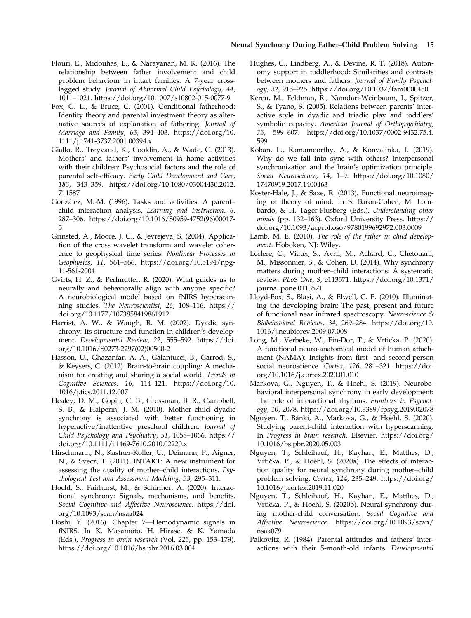#### Neural Synchrony During Father–Child Problem Solving 15

- Flouri, E., Midouhas, E., & Narayanan, M. K. (2016). The relationship between father involvement and child problem behaviour in intact families: A 7-year crosslagged study. Journal of Abnormal Child Psychology, 44, 1011–1021.<https://doi.org/10.1007/s10802-015-0077-9>
- Fox, G. L., & Bruce, C. (2001). Conditional fatherhood: Identity theory and parental investment theory as alternative sources of explanation of fathering. Journal of Marriage and Family, 63, 394–403. [https://doi.org/10.](https://doi.org/10.1111/j.1741-3737.2001.00394.x) [1111/j.1741-3737.2001.00394.x](https://doi.org/10.1111/j.1741-3737.2001.00394.x)
- Giallo, R., Treyvaud, K., Cooklin, A., & Wade, C. (2013). Mothers' and fathers' involvement in home activities with their children: Psychosocial factors and the role of parental self-efficacy. Early Child Development and Care, 183, 343–359. [https://doi.org/10.1080/03004430.2012.](https://doi.org/10.1080/03004430.2012.711587) [711587](https://doi.org/10.1080/03004430.2012.711587)
- Gonzalez, M.-M. (1996). Tasks and activities. A parent– child interaction analysis. Learning and Instruction, 6, 287–306. [https://doi.org/10.1016/S0959-4752\(96\)00017-](https://doi.org/10.1016/S0959-4752(96)00017-5) [5](https://doi.org/10.1016/S0959-4752(96)00017-5)
- Grinsted, A., Moore, J. C., & Jevrejeva, S. (2004). Application of the cross wavelet transform and wavelet coherence to geophysical time series. Nonlinear Processes in Geophysics, 11, 561–566. [https://doi.org/10.5194/npg-](https://doi.org/10.5194/npg-11-561-2004)[11-561-2004](https://doi.org/10.5194/npg-11-561-2004)
- Gvirts, H. Z., & Perlmutter, R. (2020). What guides us to neurally and behaviorally align with anyone specific? A neurobiological model based on fNIRS hyperscanning studies. The Neuroscientist, 26, 108–116. [https://](https://doi.org/10.1177/1073858419861912) [doi.org/10.1177/1073858419861912](https://doi.org/10.1177/1073858419861912)
- Harrist, A. W., & Waugh, R. M. (2002). Dyadic synchrony: Its structure and function in children's development. Developmental Review, 22, 555–592. [https://doi.](https://doi.org/10.1016/S0273-2297(02)00500-2) [org/10.1016/S0273-2297\(02\)00500-2](https://doi.org/10.1016/S0273-2297(02)00500-2)
- Hasson, U., Ghazanfar, A. A., Galantucci, B., Garrod, S., & Keysers, C. (2012). Brain-to-brain coupling: A mechanism for creating and sharing a social world. Trends in Cognitive Sciences, 16, 114–121. [https://doi.org/10.](https://doi.org/10.1016/j.tics.2011.12.007) [1016/j.tics.2011.12.007](https://doi.org/10.1016/j.tics.2011.12.007)
- Healey, D. M., Gopin, C. B., Grossman, B. R., Campbell, S. B., & Halperin, J. M. (2010). Mother–child dyadic synchrony is associated with better functioning in hyperactive/inattentive preschool children. Journal of Child Psychology and Psychiatry, 51, 1058–1066. [https://](https://doi.org/10.1111/j.1469-7610.2010.02220.x) [doi.org/10.1111/j.1469-7610.2010.02220.x](https://doi.org/10.1111/j.1469-7610.2010.02220.x)
- Hirschmann, N., Kastner-Koller, U., Deimann, P., Aigner, N., & Svecz, T. (2011). INTAKT: A new instrument for assessing the quality of mother–child interactions. Psychological Test and Assessment Modeling, 53, 295–311.
- Hoehl, S., Fairhurst, M., & Schirmer, A. (2020). Interactional synchrony: Signals, mechanisms, and benefits. Social Cognitive and Affective Neuroscience. [https://doi.](https://doi.org/10.1093/scan/nsaa024) [org/10.1093/scan/nsaa024](https://doi.org/10.1093/scan/nsaa024)
- Hoshi, Y. (2016). Chapter 7—Hemodynamic signals in fNIRS. In K. Masamoto, H. Hirase, & K. Yamada (Eds.), Progress in brain research (Vol. 225, pp. 153–179). <https://doi.org/10.1016/bs.pbr.2016.03.004>
- Hughes, C., Lindberg, A., & Devine, R. T. (2018). Autonomy support in toddlerhood: Similarities and contrasts between mothers and fathers. Journal of Family Psychology, 32, 915–925.<https://doi.org/10.1037/fam0000450>
- Keren, M., Feldman, R., Namdari-Weinbaum, I., Spitzer, S., & Tyano, S. (2005). Relations between parents' interactive style in dyadic and triadic play and toddlers' symbolic capacity. American Journal of Orthopsychiatry, 75, 599–607. [https://doi.org/10.1037/0002-9432.75.4.](https://doi.org/10.1037/0002-9432.75.4.599) [599](https://doi.org/10.1037/0002-9432.75.4.599)
- Koban, L., Ramamoorthy, A., & Konvalinka, I. (2019). Why do we fall into sync with others? Interpersonal synchronization and the brain's optimization principle. Social Neuroscience, 14, 1–9. [https://doi.org/10.1080/](https://doi.org/10.1080/17470919.2017.1400463) [17470919.2017.1400463](https://doi.org/10.1080/17470919.2017.1400463)
- Koster-Hale, J., & Saxe, R. (2013). Functional neuroimaging of theory of mind. In S. Baron-Cohen, M. Lombardo, & H. Tager-Flusberg (Eds.), Understanding other minds (pp. 132–163). Oxford University Press. [https://](https://doi.org/10.1093/acprof:oso/9780199692972.003.0009) [doi.org/10.1093/acprof:oso/9780199692972.003.0009](https://doi.org/10.1093/acprof:oso/9780199692972.003.0009)
- Lamb, M. E. (2010). The role of the father in child development. Hoboken, NJ: Wiley.
- Leclère, C., Viaux, S., Avril, M., Achard, C., Chetouani, M., Missonnier, S., & Cohen, D. (2014). Why synchrony matters during mother–child interactions: A systematic review. PLoS One, 9, e113571. [https://doi.org/10.1371/](https://doi.org/10.1371/journal.pone.0113571) [journal.pone.0113571](https://doi.org/10.1371/journal.pone.0113571)
- Lloyd-Fox, S., Blasi, A., & Elwell, C. E. (2010). Illuminating the developing brain: The past, present and future of functional near infrared spectroscopy. Neuroscience & Biobehavioral Reviews, 34, 269–284. [https://doi.org/10.](https://doi.org/10.1016/j.neubiorev.2009.07.008) [1016/j.neubiorev.2009.07.008](https://doi.org/10.1016/j.neubiorev.2009.07.008)
- Long, M., Verbeke, W., Ein-Dor, T., & Vrticka, P. (2020). A functional neuro-anatomical model of human attachment (NAMA): Insights from first- and second-person social neuroscience. Cortex, 126, 281–321. [https://doi.](https://doi.org/10.1016/j.cortex.2020.01.010) [org/10.1016/j.cortex.2020.01.010](https://doi.org/10.1016/j.cortex.2020.01.010)
- Markova, G., Nguyen, T., & Hoehl, S. (2019). Neurobehavioral interpersonal synchrony in early development: The role of interactional rhythms. Frontiers in Psychology, 10, 2078.<https://doi.org/10.3389/fpsyg.2019.02078>
- Nguyen, T., Banki, A., Markova, G., & Hoehl, S. (2020). Studying parent-child interaction with hyperscanning. In Progress in brain research. Elsevier. [https://doi.org/](https://doi.org/10.1016/bs.pbr.2020.05.003) [10.1016/bs.pbr.2020.05.003](https://doi.org/10.1016/bs.pbr.2020.05.003)
- Nguyen, T., Schleihauf, H., Kayhan, E., Matthes, D., Vrticka, P., & Hoehl, S. (2020a). The effects of interaction quality for neural synchrony during mother–child problem solving. Cortex, 124, 235–249. [https://doi.org/](https://doi.org/10.1016/j.cortex.2019.11.020) [10.1016/j.cortex.2019.11.020](https://doi.org/10.1016/j.cortex.2019.11.020)
- Nguyen, T., Schleihauf, H., Kayhan, E., Matthes, D., Vrticka, P., & Hoehl, S. (2020b). Neural synchrony during mother-child conversation. Social Cognitive and Affective Neuroscience. [https://doi.org/10.1093/scan/](https://doi.org/10.1093/scan/nsaa079) [nsaa079](https://doi.org/10.1093/scan/nsaa079)
- Palkovitz, R. (1984). Parental attitudes and fathers' interactions with their 5-month-old infants. Developmental